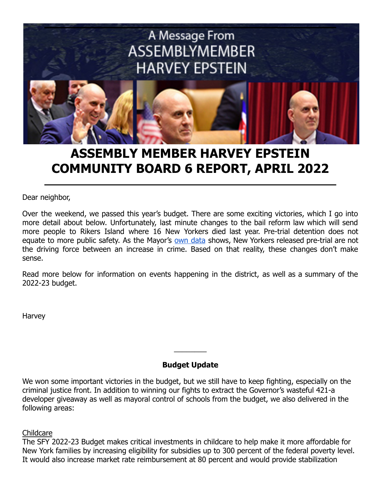

# **ASSEMBLY MEMBER HARVEY EPSTEIN COMMUNITY BOARD 6 REPORT, APRIL 2022**

Dear neighbor,

Over the weekend, we passed this year's budget. There are some exciting victories, which I go into more detail about below. Unfortunately, last minute changes to the bail reform law which will send more people to Rikers Island where 16 New Yorkers died last year. Pre-trial detention does not equate to more public safety. As the Mayor's own [data](https://criminaljustice.cityofnewyork.us/wp-content/uploads/2021/12/Pretrial-Docketed-Rearrest-Contextual-Overview-December-2021-Update.pdf) shows, New Yorkers released pre-trial are not the driving force between an increase in crime. Based on that reality, these changes don't make sense.

Read more below for information on events happening in the district, as well as a summary of the 2022-23 budget.

Harvey

## **Budget Update**

 $\overline{\phantom{a}}$ 

We won some important victories in the budget, but we still have to keep fighting, especially on the criminal justice front. In addition to winning our fights to extract the Governor's wasteful 421-a developer giveaway as well as mayoral control of schools from the budget, we also delivered in the following areas:

Childcare

The SFY 2022-23 Budget makes critical investments in childcare to help make it more affordable for New York families by increasing eligibility for subsidies up to 300 percent of the federal poverty level. It would also increase market rate reimbursement at 80 percent and would provide stabilization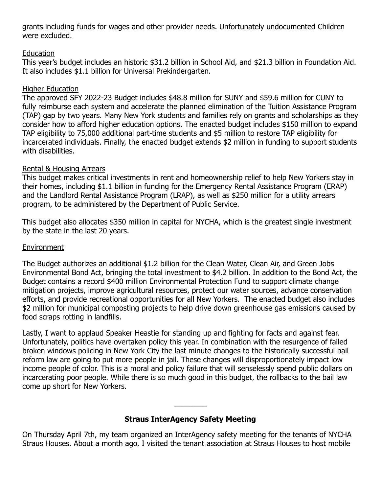grants including funds for wages and other provider needs. Unfortunately undocumented Children were excluded.

## Education

This year's budget includes an historic \$31.2 billion in School Aid, and \$21.3 billion in Foundation Aid. It also includes \$1.1 billion for Universal Prekindergarten.

## Higher Education

The approved SFY 2022-23 Budget includes \$48.8 million for SUNY and \$59.6 million for CUNY to fully reimburse each system and accelerate the planned elimination of the Tuition Assistance Program (TAP) gap by two years. Many New York students and families rely on grants and scholarships as they consider how to afford higher education options. The enacted budget includes \$150 million to expand TAP eligibility to 75,000 additional part-time students and \$5 million to restore TAP eligibility for incarcerated individuals. Finally, the enacted budget extends \$2 million in funding to support students with disabilities.

## Rental & Housing Arrears

This budget makes critical investments in rent and homeownership relief to help New Yorkers stay in their homes, including \$1.1 billion in funding for the Emergency Rental Assistance Program (ERAP) and the Landlord Rental Assistance Program (LRAP), as well as \$250 million for a utility arrears program, to be administered by the Department of Public Service.

This budget also allocates \$350 million in capital for NYCHA, which is the greatest single investment by the state in the last 20 years.

## **Environment**

The Budget authorizes an additional \$1.2 billion for the Clean Water, Clean Air, and Green Jobs Environmental Bond Act, bringing the total investment to \$4.2 billion. In addition to the Bond Act, the Budget contains a record \$400 million Environmental Protection Fund to support climate change mitigation projects, improve agricultural resources, protect our water sources, advance conservation efforts, and provide recreational opportunities for all New Yorkers. The enacted budget also includes \$2 million for municipal composting projects to help drive down greenhouse gas emissions caused by food scraps rotting in landfills.

Lastly, I want to applaud Speaker Heastie for standing up and fighting for facts and against fear. Unfortunately, politics have overtaken policy this year. In combination with the resurgence of failed broken windows policing in New York City the last minute changes to the historically successful bail reform law are going to put more people in jail. These changes will disproportionately impact low income people of color. This is a moral and policy failure that will senselessly spend public dollars on incarcerating poor people. While there is so much good in this budget, the rollbacks to the bail law come up short for New Yorkers.

# **Straus InterAgency Safety Meeting**

 $\overline{\phantom{a}}$ 

On Thursday April 7th, my team organized an InterAgency safety meeting for the tenants of NYCHA Straus Houses. About a month ago, I visited the tenant association at Straus Houses to host mobile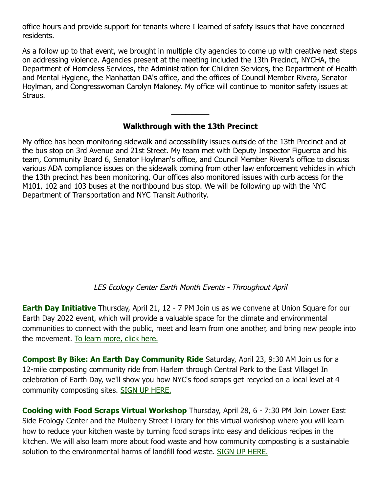office hours and provide support for tenants where I learned of safety issues that have concerned residents.

As a follow up to that event, we brought in multiple city agencies to come up with creative next steps on addressing violence. Agencies present at the meeting included the 13th Precinct, NYCHA, the Department of Homeless Services, the Administration for Children Services, the Department of Health and Mental Hygiene, the Manhattan DA's office, and the offices of Council Member Rivera, Senator Hoylman, and Congresswoman Carolyn Maloney. My office will continue to monitor safety issues at Straus.

## **Walkthrough with the 13th Precinct**

**\_\_\_\_\_\_\_\_**

My office has been monitoring sidewalk and accessibility issues outside of the 13th Precinct and at the bus stop on 3rd Avenue and 21st Street. My team met with Deputy Inspector Figueroa and his team, Community Board 6, Senator Hoylman's office, and Council Member Rivera's office to discuss various ADA compliance issues on the sidewalk coming from other law enforcement vehicles in which the 13th precinct has been monitoring. Our offices also monitored issues with curb access for the M101, 102 and 103 buses at the northbound bus stop. We will be following up with the NYC Department of Transportation and NYC Transit Authority.

#### LES Ecology Center Earth Month Events - Throughout April

**Earth Day Initiative** Thursday, April 21, 12 - 7 PM Join us as we convene at Union Square for our Earth Day 2022 event, which will provide a valuable space for the climate and environmental communities to connect with the public, meet and learn from one another, and bring new people into the movement. [To learn more, click here.](http://www.earthdayinitiative.org/)

**Compost By Bike: An Earth Day Community Ride** Saturday, April 23, 9:30 AM Join us for a 12-mile composting community ride from Harlem through Central Park to the East Village! In celebration of Earth Day, we'll show you how NYC's food scraps get recycled on a local level at 4 community composting sites. [SIGN UP HERE.](https://www.eventbrite.com/e/303871687397)

**Cooking with Food Scraps Virtual Workshop** Thursday, April 28, 6 - 7:30 PM Join Lower East Side Ecology Center and the Mulberry Street Library for this virtual workshop where you will learn how to reduce your kitchen waste by turning food scraps into easy and delicious recipes in the kitchen. We will also learn more about food waste and how community composting is a sustainable solution to the environmental harms of landfill food waste. [SIGN UP HERE.](https://www.eventbrite.com/e/online-cooking-with-food-scraps-with-the-lower-east-side-ecology-center-tickets-310788545907)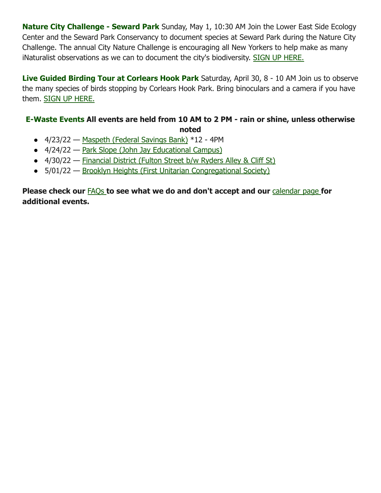**Nature City Challenge - Seward Park** Sunday, May 1, 10:30 AM Join the Lower East Side Ecology Center and the Seward Park Conservancy to document species at Seward Park during the Nature City Challenge. The annual City Nature Challenge is encouraging all New Yorkers to help make as many iNaturalist observations as we can to document the city's biodiversity. [SIGN UP HERE.](https://www.eventbrite.com/e/city-nature-challenge-in-seward-park-tickets-309061931557)

**Live Guided Birding Tour at Corlears Hook Park** Saturday, April 30, 8 - 10 AM Join us to observe the many species of birds stopping by Corlears Hook Park. Bring binoculars and a camera if you have them. [SIGN UP HERE.](https://www.eventbrite.com/o/les-ecology-center-13297911311)

## **E-Waste Events All events are held from 10 AM to 2 PM - rain or shine, unless otherwise noted**

- 4/23/22 [Maspeth \(Federal Savings Bank\)](https://www.lesecologycenter.org/wp-content/uploads/2019/08/4_23_22_-Maspeth.pdf) \*12 4PM
- 4/24/22 [Park Slope \(John Jay Educational Campus\)](https://www.lesecologycenter.org/wp-content/uploads/2022/03/04_24_22_Park-Slope-1.pdf)
- 4/30/22 [Financial District \(Fulton Street](https://www.lesecologycenter.org/wp-content/uploads/2020/02/4_30_22_-Downtown-pdf.jpg) b/w Ryders [Alley & Cliff St](https://www.lesecologycenter.org/venue/fulton-street-b-w-ryders-alley-cliff-st/)[\)](https://www.lesecologycenter.org/wp-content/uploads/2020/02/4_30_22_-Downtown-pdf.jpg)
- 5/01/22 [Brooklyn Heights \(First Unitarian Congregational](https://www.lesecologycenter.org/wp-content/uploads/2019/05/05_01_22-Brooklyn-Heights.pdf) Society)

**Please check our** [FAQs](https://www.lesecologycenter.org/programs/ewaste/ewaste-faq/) **to see what we do and don't accept and our** [calendar page](http://https//www.lesecologycenter.org/calendar/category/ewaste/ewaste-events/2021-04/) **for additional events.**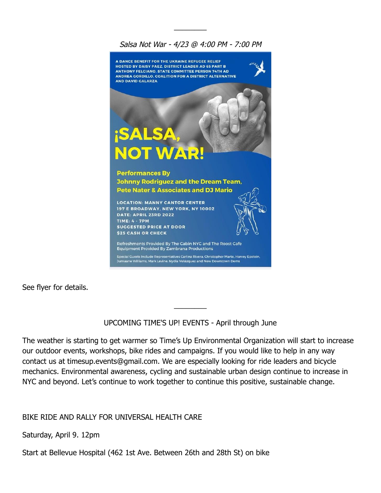## Salsa Not War - 4/23 @ 4:00 PM - 7:00 PM

 $\overline{\phantom{a}}$ 



See flyer for details.

#### UPCOMING TIME'S UP! EVENTS - April through June

 $\overline{\phantom{a}}$ 

The weather is starting to get warmer so Time's Up Environmental Organization will start to increase our outdoor events, workshops, bike rides and campaigns. If you would like to help in any way contact us at timesup.events@gmail.com. We are especially looking for ride leaders and bicycle mechanics. Environmental awareness, cycling and sustainable urban design continue to increase in NYC and beyond. Let's continue to work together to continue this positive, sustainable change.

#### BIKE RIDE AND RALLY FOR UNIVERSAL HEALTH CARE

Saturday, April 9. 12pm

Start at Bellevue Hospital (462 1st Ave. Between 26th and 28th St) on bike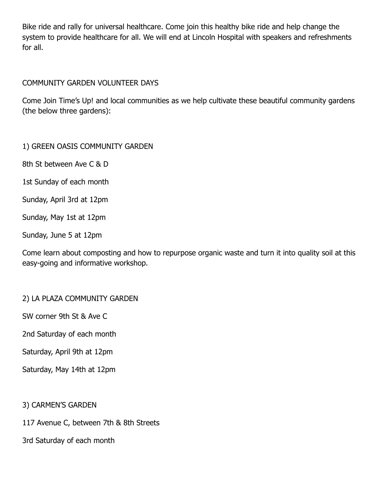Bike ride and rally for universal healthcare. Come join this healthy bike ride and help change the system to provide healthcare for all. We will end at Lincoln Hospital with speakers and refreshments for all.

## COMMUNITY GARDEN VOLUNTEER DAYS

Come Join Time's Up! and local communities as we help cultivate these beautiful community gardens (the below three gardens):

#### 1) GREEN OASIS COMMUNITY GARDEN

8th St between Ave C & D

1st Sunday of each month

Sunday, April 3rd at 12pm

Sunday, May 1st at 12pm

Sunday, June 5 at 12pm

Come learn about composting and how to repurpose organic waste and turn it into quality soil at this easy-going and informative workshop.

## 2) LA PLAZA COMMUNITY GARDEN

SW corner 9th St & Ave C

2nd Saturday of each month

Saturday, April 9th at 12pm

Saturday, May 14th at 12pm

3) CARMEN'S GARDEN

117 Avenue C, between 7th & 8th Streets

3rd Saturday of each month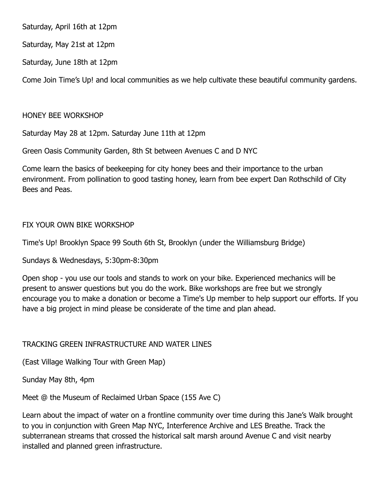Saturday, April 16th at 12pm

Saturday, May 21st at 12pm

Saturday, June 18th at 12pm

Come Join Time's Up! and local communities as we help cultivate these beautiful community gardens.

## HONEY BEE WORKSHOP

Saturday May 28 at 12pm. Saturday June 11th at 12pm

Green Oasis Community Garden, 8th St between Avenues C and D NYC

Come learn the basics of beekeeping for city honey bees and their importance to the urban environment. From pollination to good tasting honey, learn from bee expert Dan Rothschild of City Bees and Peas.

## FIX YOUR OWN BIKE WORKSHOP

Time's Up! Brooklyn Space 99 South 6th St, Brooklyn (under the Williamsburg Bridge)

Sundays & Wednesdays, 5:30pm-8:30pm

Open shop - you use our tools and stands to work on your bike. Experienced mechanics will be present to answer questions but you do the work. Bike workshops are free but we strongly encourage you to make a donation or become a Time's Up member to help support our efforts. If you have a big project in mind please be considerate of the time and plan ahead.

## TRACKING GREEN INFRASTRUCTURE AND WATER LINES

(East Village Walking Tour with Green Map)

Sunday May 8th, 4pm

Meet @ the Museum of Reclaimed Urban Space (155 Ave C)

Learn about the impact of water on a frontline community over time during this Jane's Walk brought to you in conjunction with Green Map NYC, Interference Archive and LES Breathe. Track the subterranean streams that crossed the historical salt marsh around Avenue C and visit nearby installed and planned green infrastructure.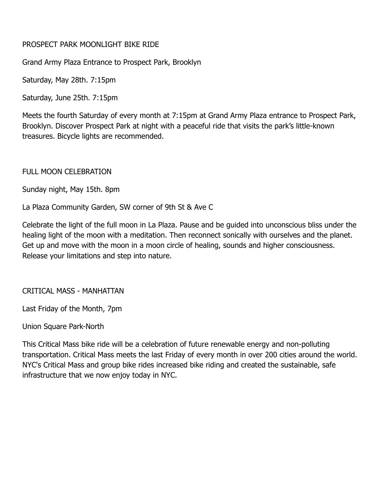#### PROSPECT PARK MOONLIGHT BIKE RIDE

Grand Army Plaza Entrance to Prospect Park, Brooklyn

Saturday, May 28th. 7:15pm

Saturday, June 25th. 7:15pm

Meets the fourth Saturday of every month at 7:15pm at Grand Army Plaza entrance to Prospect Park, Brooklyn. Discover Prospect Park at night with a peaceful ride that visits the park's little-known treasures. Bicycle lights are recommended.

#### FULL MOON CELEBRATION

Sunday night, May 15th. 8pm

La Plaza Community Garden, SW corner of 9th St & Ave C

Celebrate the light of the full moon in La Plaza. Pause and be guided into unconscious bliss under the healing light of the moon with a meditation. Then reconnect sonically with ourselves and the planet. Get up and move with the moon in a moon circle of healing, sounds and higher consciousness. Release your limitations and step into nature.

CRITICAL MASS - MANHATTAN

Last Friday of the Month, 7pm

Union Square Park-North

This Critical Mass bike ride will be a celebration of future renewable energy and non-polluting transportation. Critical Mass meets the last Friday of every month in over 200 cities around the world. NYC's Critical Mass and group bike rides increased bike riding and created the sustainable, safe infrastructure that we now enjoy today in NYC.